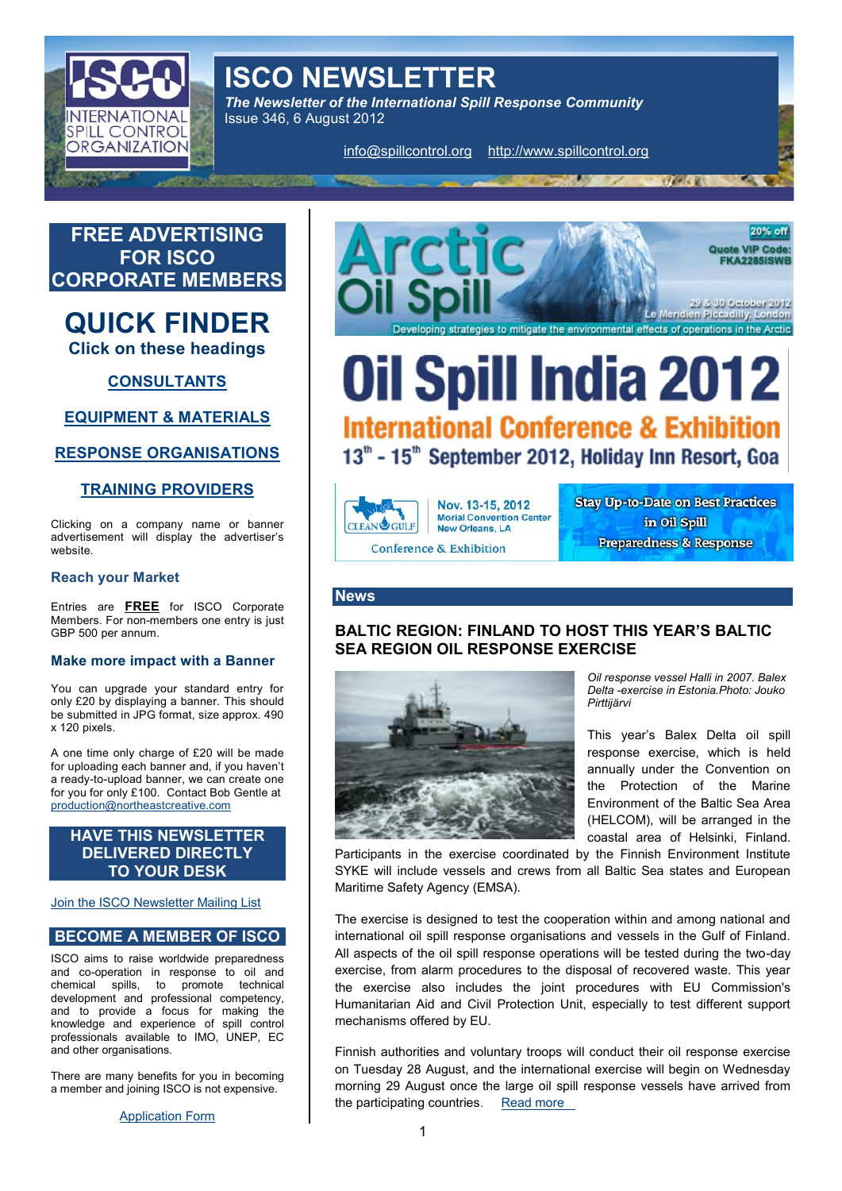# ISCO NEWSLETTER

The Newsletter of the International Spill Response Con Issue 346, 6 August 2012

[info@spillcon](mailto:info@spillcontrol.org)t $hat$ pardwww.spillocontrol.org info@spillcontrol.org  $\theta$ 



and coperation in response to oiexenctise, from alarm procedures to the disposal of rec chemical sspillo promote technical development and professional competency, and to provide a focus for making the knowledge and experisepide controlmechanisms offered by EU. professionals available to IMO, UNEP, EC and other organisations.

There are many benefits for you in becoming a member and joining ISCO is not e $\Re$ p $\Theta$ e $\Re$ Ns $\Re$ 

[Applicatio](http://www.spillcontrol.org/Joomla/index.php?option=com_content&task=view&id=21&Itemid=35)n Form

1

the participating [countries](http://www.ymparisto.fi/default.asp?contentid=416459&lan=fi&clan=en) re

**(\*Al**e exeerciasIso includes the joint procedures with E

on Tuesda8 August, and the international exercise will ppppenging 29 August once the large oil spill response ve

Finnish authorities and voluntary troops will conduct t

السلام العام العام Aid and Civil Protection Unit, especially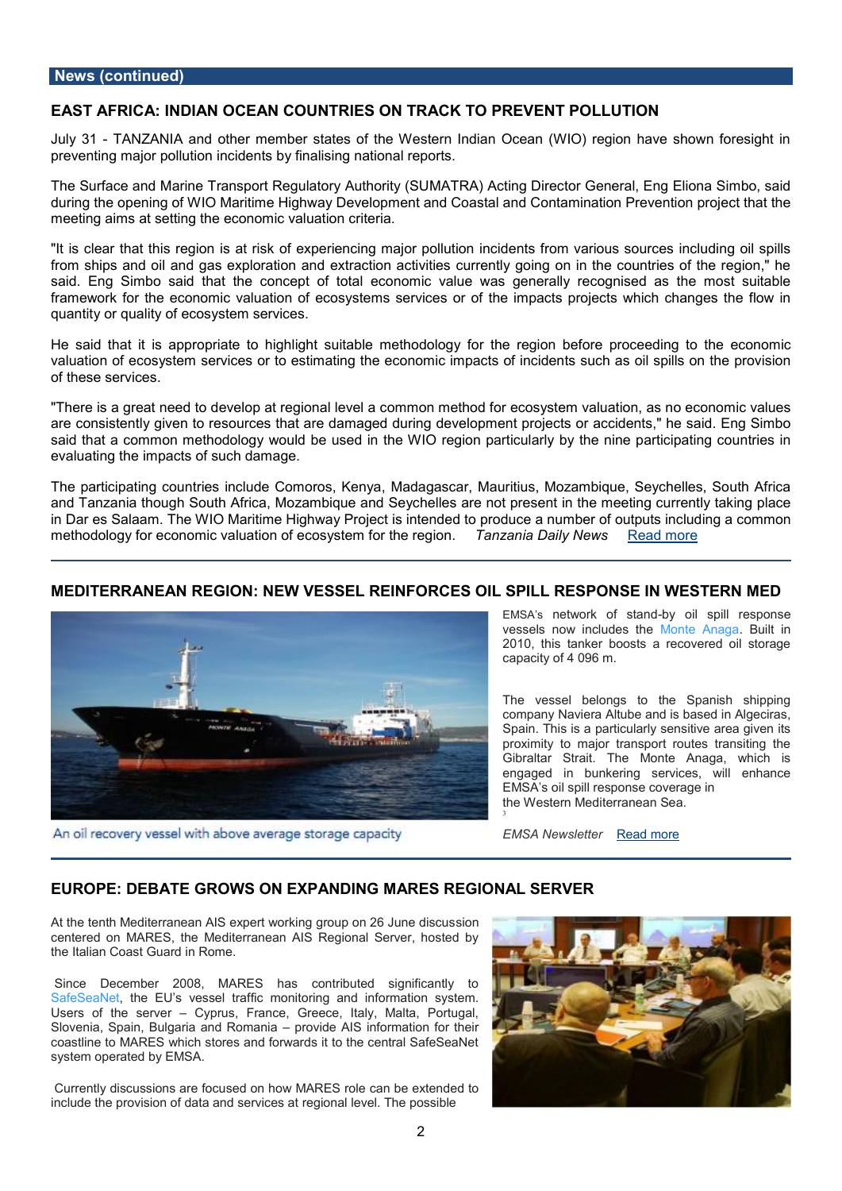# News (continued)

EAST AFRICA: ION OD EANN COUNTRIES AO KN TO PREVENUT POINL

July 3TANZANIA and other member states of the Western Indian Ocean (WIO preventing major pollutional insidents t boyn all reports.

The Surface and Marine Transport Regulatory Authority (SUMATRA) Acting Dir during the opening of WIO Maritime Highway Development and Coastal and Conta meeng aims at setting the economic valuation criteria.

"It is clear that this region is at risk of experiencing major pollution inciden from ships and oil and gas exploration and extrmage toonnimact the eitoies not uirerse notify the region said. Eng Simbo said that the concept of total economic value was general framework for the economic valuation of ecosystems services or of tho impaction and interesting and f low in quantity or quality of ecosystem services.

He said that it is appropriate to highlight suitable methodology for the region valuation of ecosystem services or to estimating the economis pullims parts host pinom of these services.

"There is a great need to develop at regional level a common method for ecos are consistently given to resources that are damaged during blevsed oop. memot prom said that a common methodology would be used in the WIO region particularl evaluating the impacts of such damage.

The participating countries include Comoros, Kenya, MqaudeagSaeyahelMeasuriStibuust,h and Tanzania though South Africa, Mozambique and Seychelles are not preser in Dar es Salaam. The WIO Maritime Highway Project is intended to produce a methodology for economic valuation of ecoTsay is  $t$  and  $d$  oD at the RNee and by more

### MEDITERRANEAN RNEEGWOWNESSEL REINFORCELSRIDSUP OS IN ESTERN I

EMSA snetwork of-bsytand spill respon vessels now inclu*M* densteth AnaBailt in  $2010$ , this tanker boosts a recovere capacity of 4 096 m .

The vessel belongs to the Spanis company Naviera Altube and is based Spain This is a particularly sensitive proximity to major transport routes Gibraltar Strait. The Monte Anaga engaged in bunkering services, will EMSA s oil spill response coverage in the Western Meditearanean Se

EMSA NewsleRteard more

### EUROPEEBATE GROWS ON EXPANDING MARES REGIONAL SERVER

3

At the tenth Mediterranean AIS expert workinsgiognroup on 26 June discus ceneted on MARES, the Mediterranean AIS Regional Server, hosted by the Italian Coast Guard in Rome.

 Since December 2008, MARES has contributed significantly to SafeSeaNethe EU s vessel mornal foring and information system. Users of the sectyprus, France, Greece, Italy, Malta, Portugal, Slovenia, Spain, Bulgaria apmob Roben and Bainformation for their coastline to MARES which stores and forwards it to the central SafeSeaNet system operated by EMSA.

Currently discussios rest flow uMARES role can be extended to include the provision of datae animal nate rively as a fine possible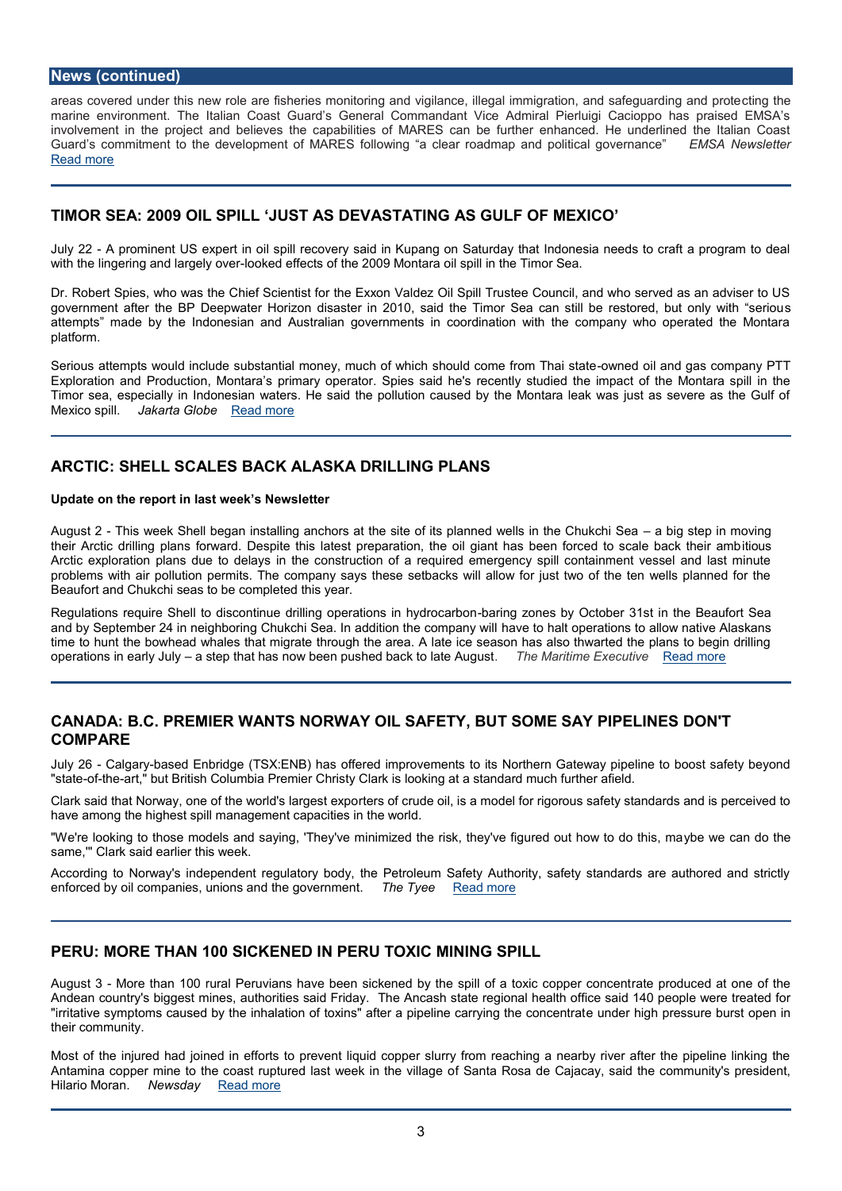# News (continued)

areas covered under this new role are fisheries monitoring and vigilance, ild eigal timemi marine environment. The Italian Coast Guard s General Commandant Vice Admiral F involvement in the project and believes the capabilities of MARES can be further e Guard csommitment to the development of MARES following a clear ro FaMdn&n Ap Nænwds Ipeotiet [Read m](http://emsa.europa.eu/emsa-documents/newsletters/download/1910/1541/23.html)ore

### TIMOR SE2A00**9 IL SPILL JUDSEV AASSTATING AS GUALLE XOUFO**

July 22 prominent US expert in oil spill recovery said in Kupang on Saturday that Ind with the lingering and dakgely fovers of the 2009 Montara oil spill in the Timor Sea.

Dr. Robert Spies, who was the Chief Scientist for the Exxon Valdez Oil Spill Trustee C government after the BP Deepwater Horizon disaster in 2010, said the Timor Ssea ca attempts made by the Indonesian and Australian governments in coordination with platform.

Serious attempts would include substantial money, much of whw incehd schiolual didcogamse of or compa Thai Exploration and OP rod Nuocntiara s primarSypoepserseatod.he's recently studied the impact of the  $M$ Timor sea, especially in Indonesian waters. He said the pollution caused by the Mont Mexco spillakarta Glabead more

### ARCTISHELL SCALES BASK AND RILLING PLANS

Updaten the report in last weeters Newsl

August This week Shell began installing anchors at the site of its plang esdewell hs minution their Arctic drilling plans forward. Despite this latest preparation, the oil igliams has Arctic exploration plans due to delays in the construction of a required emergency s problems with air pollution permits. The company says these setbacks will allow for Beaufort and Chukchi seas to be completed this year.

Regulations require Shell to discontinue drilling apiperationes by hOycothodocearbon the Beau for the Beau for and by September 24 in neighboring Chukchi Sea.han addition the company wowall ow nativ time to hunt the bowhead whales that migrate through the area. A late ice season has operations in early steuply that has now been pushed baTchke tho lahait em Aeu Ejou on Recuatod ven ore

# CANAD B.C. PREMIER WOANT WORL SAFETT SO BMUE SAY PIPEDLONETS COMPARE

July 26 algabased Enbr (Tdg &: ENB) has offered improvements to its Northern Gateway pi "sta-betheart," but British Columbia Premier Christy Clark is looking at a standard much

Clark said that Norway, one of the twe oslotific langues sotile xipso a model for rigorous safety stard have among the highest spill management capacities in the world.

"We're looking to those models and saying, 'They've minimized the riystke twheeyc'are dioguth same,'" Clark said earlier this week.

According to Norway's independent regulatory body, the Petroleum Safety Authority, enforced by oil companies, unions and  $\theta$ he  $\theta$ Reearch moent.

# PERU: MORE THAN 100 SICKENED IN PERU TOXIC MINING SPILL

August More than 100 rural Peruvians have been sickened by the at spill od fuce doat concepp Andean country's biggest mines, authorities as and the Angional health office said 140 per Ancash state regional health office said 140 per treated for the said for the said for the said for the said for the treated for th "irritative symptoms caused by the inhalation of toxins" after unaderphelin me pressuring the est their community.

Most of the injured had joined in efforts to prevent liquid copper slurry from reachin Antamina copper mine to the coast ruptured flast the Rosia dhee C ajlacqaey, osaid the community Hilario MorMacwsda[yRead m](http://www.newsday.com/news/world/more-than-100-sickened-in-peru-toxic-mining-spill-1.3881377)ore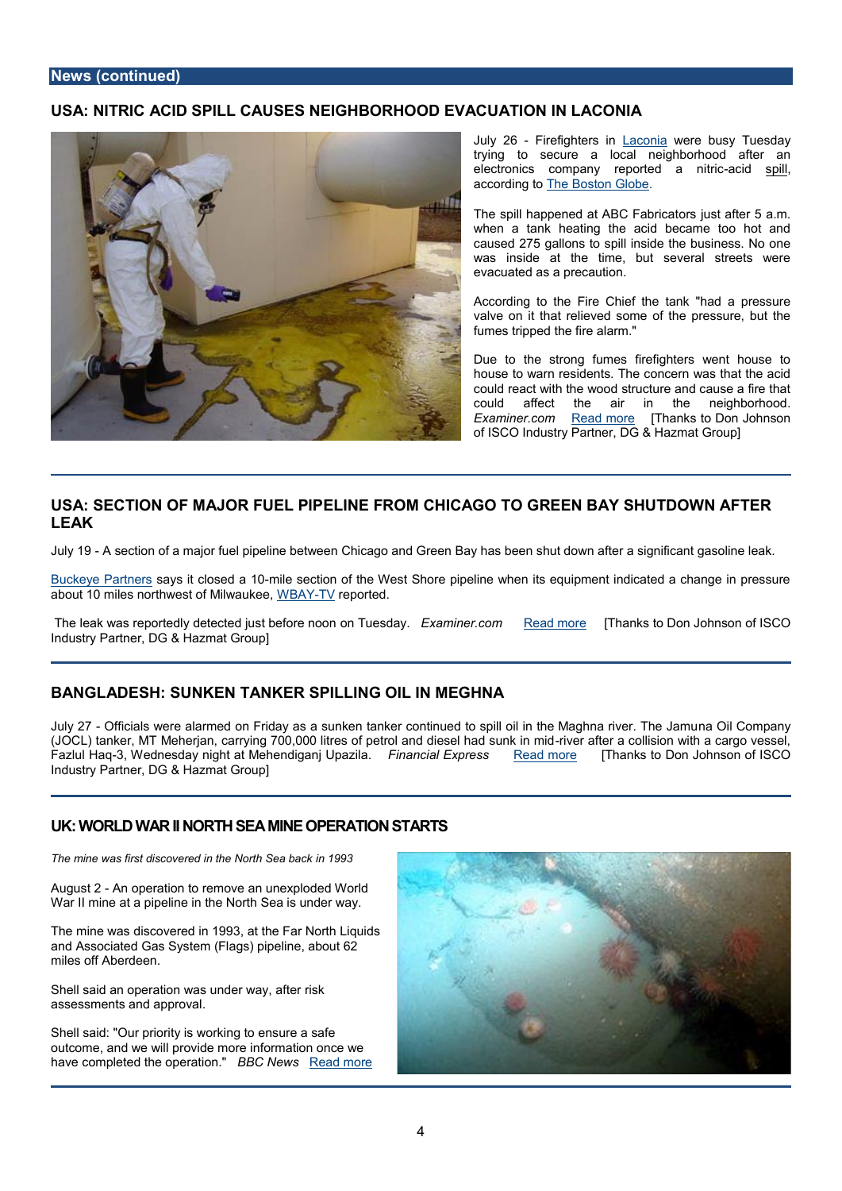# USANITRIC ACID SPULLELS ON EIGHBORHOOD ALT VOLS IN LACONIA

July 26 Firefightels cion weere busy Tuesda trying to secure a local neighborhod electronics company reporteid spaillnitr accordin Theo Boston Globe

The spill happened at ArtsCjuFsatbaifdet 5 a. when a tank heating the acid became caused 275 gallons to spill inside the b was inside at the time, but several evacuated as a precaution.

According to the Fire Chief the tank "I valve on it that relieved some of the pr fumes tripped the fire alarm."

Due to the strong fumes firefighters w house to warn residents. The concern w could react with the wood structure and couldaffeet the air in the neighbo Examiner.c@mad more [Thanks to Don Johnson of ISCO Industry Partner, DG & Hazmat

# USASE CODIN OF MAJOR FUELLINNEI FEROM CHIOAGGROE EN BAY SHUTADFOORWINN LEAK

July 4 $\overline{\theta}$  section of a major fuel pipeline between Chicago and Green Bay has been shut

[Buckeye Pa](http://www.buckeye.com/)rstanyes sit closendilæ ts tection of the West Shore pipeline when its equipment in about 10 miles northwest WoBANTIMwapuoketee,d.

The leak was reportedly detected in just behave an ime on come ad more [Thanks to Don Johnson Industry Partner, DG & Hazmat Group]

# BANGLADESHNKEN TANKER NSOP OLILLIN MEGHNA

July 20 fficials were alarmed on Friday as a sunken tanker continued ton ap Olill on the Maghena river. The Ma (JOCL) tanker, MT Meherjan, carrying 700,000 litres of pievernolafatnend alieoellishiand swuith kainca Fazlul H3ad Wednesday night at Mehend Fignaam jc Uppla Exipa<u>n Peosos den</u> ore [Thanks to Don Johnson Industry Partner, DG & Hazmat Group]

### UK: WORLD WARTHISTORNINE OF NE BAARDTS

The mine was first discovered in the North Sea back in

August A2n operation to remove an unexploded World War II mine at a pipeline in the North Sea is under way.

The mine was discovered in 1993, at the Far North Liquids and Associated Gas System (Flags) pipeline, about 62 miles off Aberdeen.

Shelaisd an operation was under way, after risk assessments and approval.

Shell said: "Our priority is working to ensure a safe outcome, and we will provide more information once we have completed the **cBDBeCaNiewRs** ad more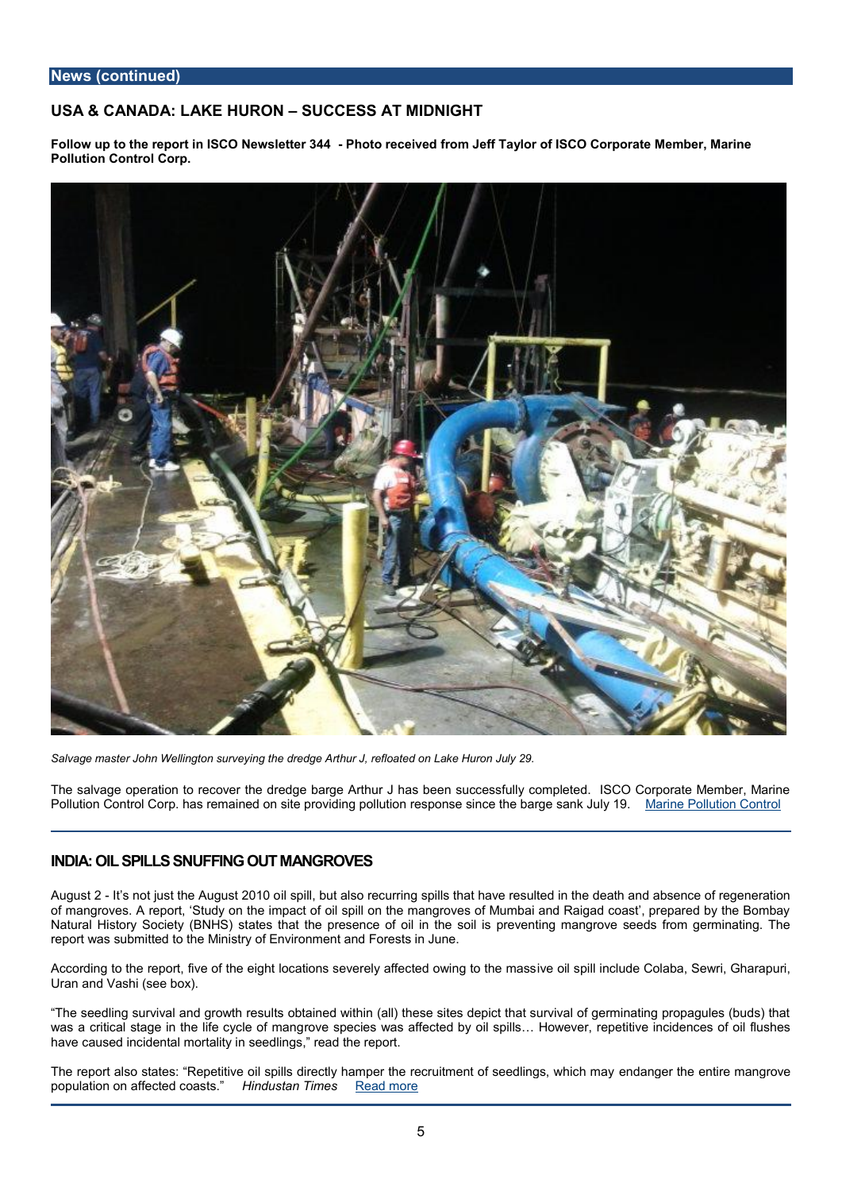USA& CANA: DLAAKE HUR GSNUCCESS AT MIDNIGHT

Follow up to the report in ISCO -NPehwost be treecre BMantd Jeff Taylor of ISCO Corporate Member Pollwin ContCoolrp.

Salvage master John Wellington surveying the dredge Arthur J, refloated on Lake Huron July 29.

The salvage operation to recover the dredge barge Arthur J has been successfully co Pollution Coontrol bas Cremained on site providing pollution response <u>Miancie ethPoldat goe</u>ns Cankt

# INDIA: OIL SPILLERING OUT MANGROVES

August 12 s not just the Auigus ptil 20 but to also recurring spills that have resulted in the dea of mangroves. A report, Study on the impact of oil spill on the mangroves of Mumbai Natural History Society e(B NHBS) the presence of oil in the soil is preventing mangrove report was submitted to the Ministry of Environment and Forests in June.

According to the report, five of the eight locations seiweerediy sapillelcined loodwein Godia btah, e Smeaws i Uran and Vashi (see box).

The seedling survival and growth results obtained within (all) these sites depict that was a critical stage in the lrioferecyspleecidefs mwaansg affected by oil spills & However, repetiti have caused incidental mortality in seedlings, read the report.

The report also states: Repetitive oil spills directly hamper the adræncqueritmineen tenoffirsee endanger the mangrover of the mangroup of the endanger of the entire mangroup of the entire mangroup of the entire mangroup o population on affectediadastan Timesd more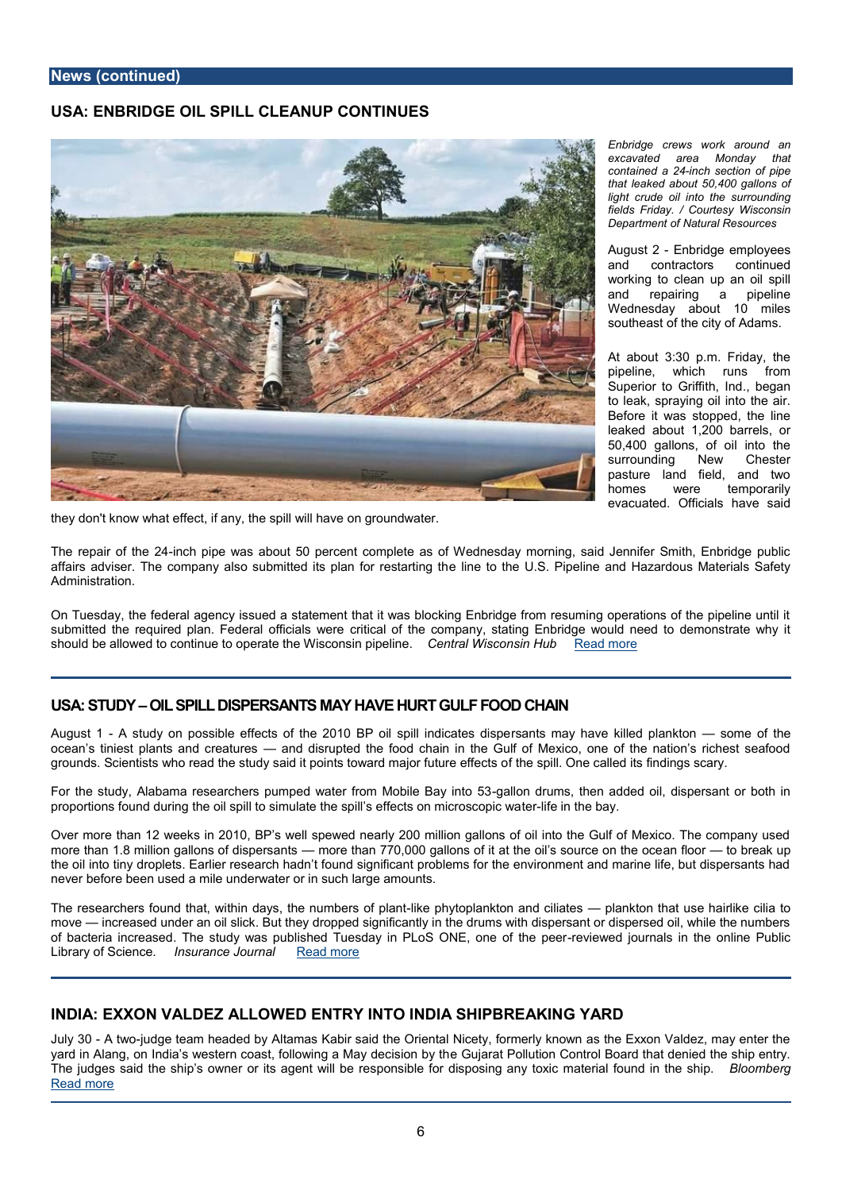### USA: ENBRIDGE IOLLCSLEANUP CONTINUE

Enbridge crews work aroun excavated area Monday contained inch a section of pipe that leaked about  $50,400$  ga light crude oil into the suri fields Friday. / Courtesy Wi Department of Natural Resou

August Enbridge employee and contractors conti working to clean up an c and repairing a pipe Wednesday about 10 m southeast of the city of A

At about 3:30 p.m. Frida pipeline, which runs Superior to Griffiblegalmd to leak, spraving oil into Before it was stopped, the leaked about  $1,200$  barrel  $50,400$  gallons, of oil in surrounding New Che pasture land field, and homes were temporal evacuated. Officials hav

they dokn'ow what effect, if any, the spill will have on groundwater.

The repair of-into p4 ape was about 50 percent complete as of Wednesday morning, sai affairs adviser. The company also submitted liseptanther U.G.S. a Pitpedinte and Hazardous Administration.

On Tuesday, the federal agency issued a statement that it was blocking Enbridge from submitted the required plan. Federial calficial se wear apany, stating Enbridge would need should be allowed to continue to operate CheentWastcWonssion psimphebentulem ore

### USA: STUDOM L SPILL DIS PIS RAGAANN HAVE HUFR FO GOUDL CHAIN

August-Al study on possible effects of the 2010 BP saomilts sporially inhelivoea the isledd sspokanae k bofn the ocean s tiniest plants and and deditsurupted the food chain in the Gulf of Mexico, one of groundSscientists who read the study said it points **fowhærdspmildjo@rfetuanel eedfetstsfin**dings so

For the study, Alabama researchers pumped wategralflrom md Muombsi, et hBeany and tobe of 30 il, dispers proportions found during the oil spill to simulate the estipfiel is a the estasyon microscopic wa

Over more than 12 weeks in 2010, BP s well spewed nearly 200 million gallons of oil more than 1.8 million gallons motordeistpheams  $\vec{a}$ n 710s,000 gallons of it at theanoiflosostoou bore adknutph the oil into tiny droplets. Earlier research hadn t found significant problems for the er never before been used a mile underwater or in such large amounts.

The researchers fouthidnt days, withe numb dein ke opfhy than pulankton and lain kato ensthat use hairlike move increased under an oil slick. But they dropped significantly in the drums with dis of bacteria incrTehaesesdudy was published Tuesday in PLoSreQiNe.Ew, eolnjoe ucrfnahse inne ehre onli Library of Sciemscuerance Jou[Read m](http://www.insurancejournal.com/news/southcentral/2012/08/01/257998.htm)ore

# INDIAEXXON VALDEZ EADLEOW TRY INTO SHN BBARE A KING YARD

July 3A twjoudge team headed by Altamas Kabir said the Oriental Nicety, formerly know yard in Alang, on India s western coast, folleowGiunjgaraatMPaoyllduet coisnioCnonbyrath Board that den The judges said the ship s owner or its agent will be responsible for dispBolsoiong bæng t [Read m](http://www.bloomberg.com/news/2012-07-30/exxon-valdez-allowed-entry-into-india-shipbreaking-yard.html)ore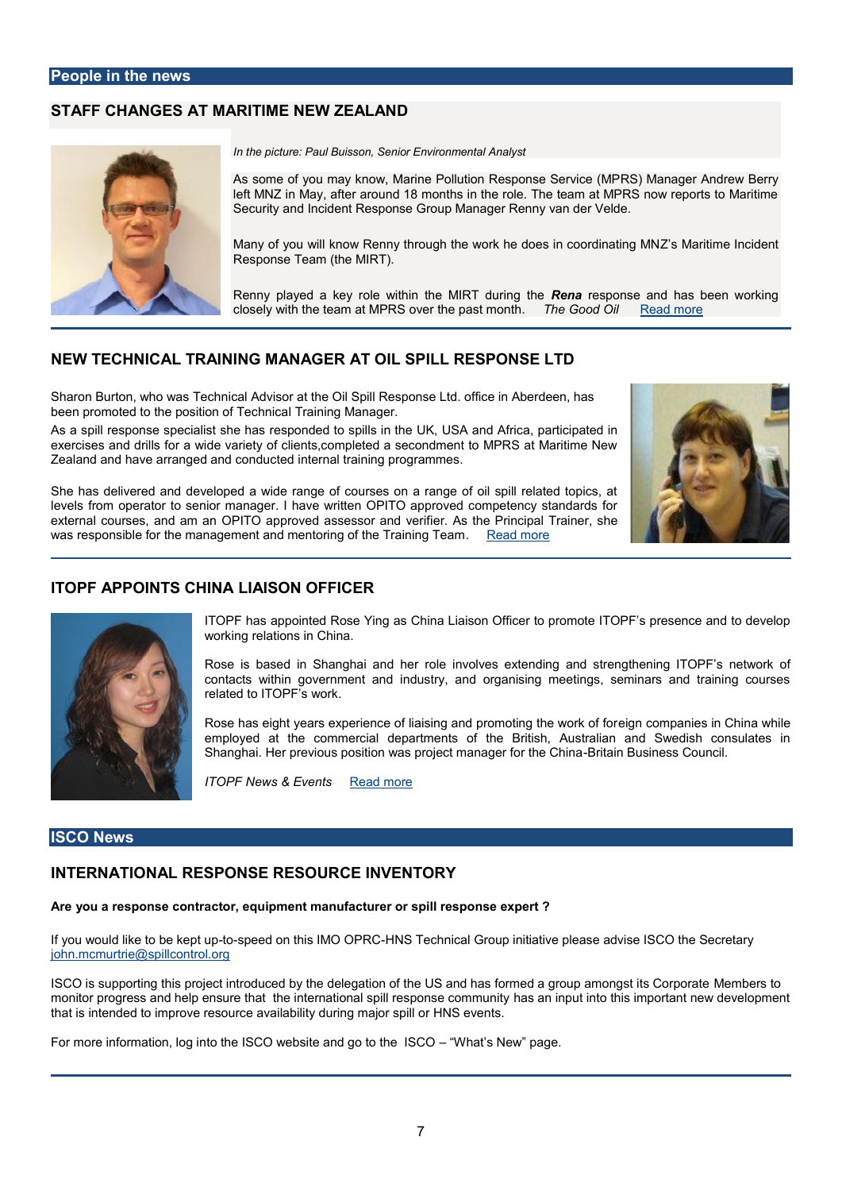# STAFF CHANGES ATTIMMEN RIEW ZEALAND

In the picture: Paul Buisson, Senior Environmental Analyst

As some of you may know, Marine Pollution RSP) e Mapanasgee a Steamwolce ew (MBP left MNZ in May, after around 18 months in the role. The team at I Security and Incident Response Group Manager Renny van der Veld

Many of you will know Renny through the work  $\mathbb Z$  es d Mosensitimm ocoloned dread Response Team (the MIRT).

Renny played a key role within the Manuar behold an and the has been wo closely with the team at MPRS over hteh  $\mathfrak s$  padt Chines and hmore

### NEW TECHNICAL NTOR AM ANN AGER AT IOLL RSEPS PONSE LTD

Sharon Burton, who was Technical Advisor at the Oil Spill Resp[onse Ltd. office in](http://m3.licdn.com/media/p/3/000/07c/1a1/3b303b8.jpg) Aber been promoted to the position administration  $\mathbf{r}$  and  $\mathbf{r}$  and  $\mathbf{r}$ 

As apill response specialesstpohelehdaso spills in the UK, USA and Africa, participated in exercises and drills for a wide variety of clients, completed a secondment to MPRS at Zealand and have arrang ded aimd exon ad utoraining programmes.

She has livered and developed a wide range of courses on a range of oil spill related levels from operator to senior manager. I have written OPITO approved competency s external courses, a On Rel Ta Congressor and assession and the entrancipal Trainer, she was responsible for the management and mentorRegadfmbeeTraining Team

### ITOPF APPOINTS LONING N OFFICER

ITOPF has appointed Rose Ying as China Liaison Officer to promote I working relations in China.

Rose is based in Shanghadie aind oheers rextending and strengthening IT contacts within government and industry, and organising meetings, related to ITOPF s work.

Rose has eight years experience of liaising and gpromoto plangiethed nw 6 hkinoa employed at the commercial departments of the British, Australian Shanghai. Her previous position was proje**Btimaina Buesiness he cumicia** 

ITOPF News & EReats more

#### ISCO News

### INTERNATIONAL RESPONSCEE RESOURORY

Are you a respons retocronoment manufacturer or spill response expert?

If you would like to tobespekeed to up this IMHONGS PTReC chnGical pinitiative please advise ISCO the [john.mcmurtrie@spi](mailto:john.mcmurtrie@spillcontrol.org)llcontrol.org

ISCO is supporting this project introduced by the delegation of the US an and enhabe frost miced monitor progress and help ensure that the internathious ad nspinipunte spoton sheiscommunimourniathy thew that is intended to improve resource availability during major spill or HNS events.

For more informaticonthelolon CrO website and go Wohnehtes New Oopage.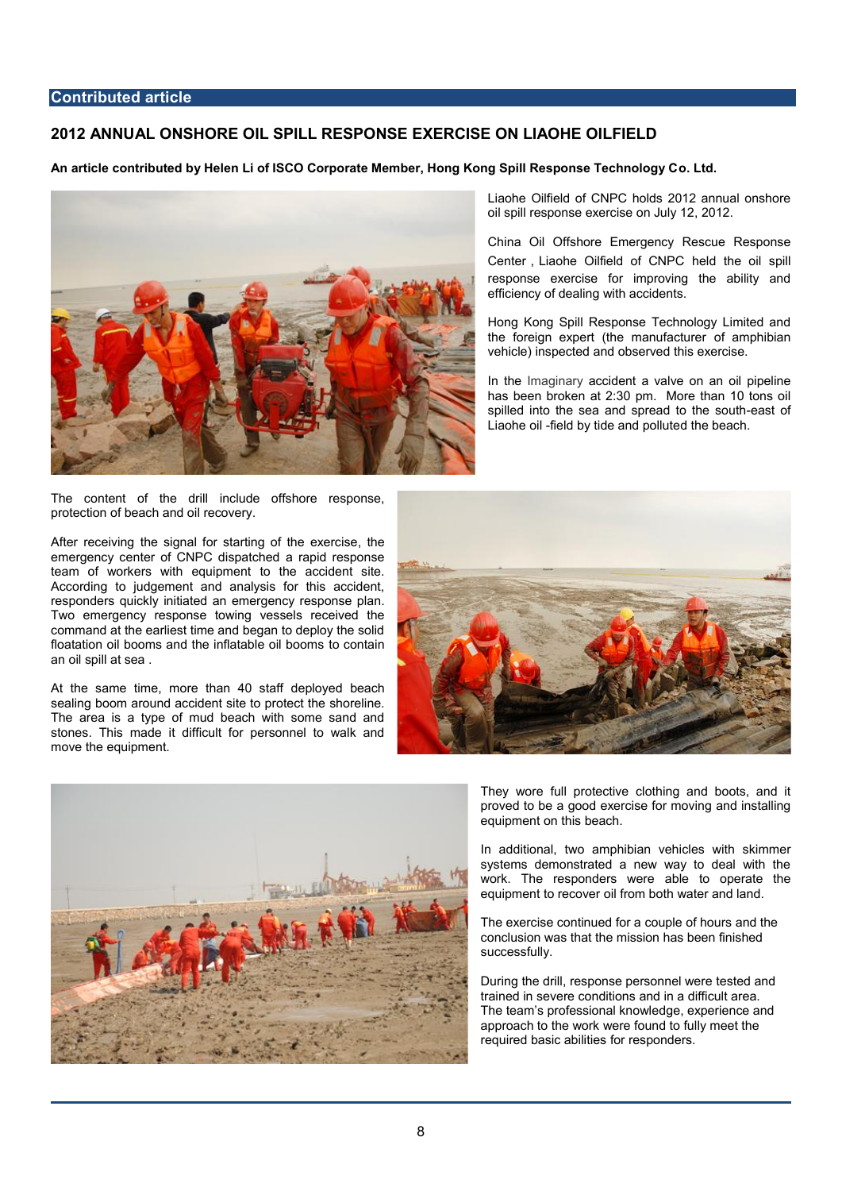#### **Contributed article**

# **2012 ANNUAL ONSHORE OIL SPILL RESPONSE EXERCISE ON LIAOHE OILFIELD**

### **An article contributed by Helen Li of ISCO Corporate Member, Hong Kong Spill Response Technology Co. Ltd.**



The content of the drill include offshore response, protection of beach and oil recovery.

After receiving the signal for starting of the exercise, the emergency center of CNPC dispatched a rapid response team of workers with equipment to the accident site. According to judgement and analysis for this accident, responders quickly initiated an emergency response plan. Two emergency response towing vessels received the command at the earliest time and began to deploy the solid floatation oil booms and the inflatable oil booms to contain an oil spill at sea .

At the same time, more than 40 staff deployed beach sealing boom around accident site to protect the shoreline. The area is a type of mud beach with some sand and stones. This made it difficult for personnel to walk and move the equipment.



China Oil Offshore Emergency Rescue Response Center, Liaohe Oilfield of CNPC held the oil spill response exercise for improving the ability and efficiency of dealing with accidents.

Hong Kong Spill Response Technology Limited and the foreign expert (the manufacturer of amphibian vehicle) inspected and observed this exercise.

In the Imaginary accident a valve on an oil pipeline has been broken at 2:30 pm. More than 10 tons oil spilled into the sea and spread to the south-east of Liaohe oil -field by tide and polluted the beach.





They wore full protective clothing and boots, and it proved to be a good exercise for moving and installing equipment on this beach.

In additional, two amphibian vehicles with skimmer systems demonstrated a new way to deal with the work. The responders were able to operate the equipment to recover oil from both water and land.

The exercise continued for a couple of hours and the conclusion was that the mission has been finished successfully.

During the drill, response personnel were tested and trained in severe conditions and in a difficult area. The team's professional knowledge, experience and approach to the work were found to fully meet the required basic abilities for responders.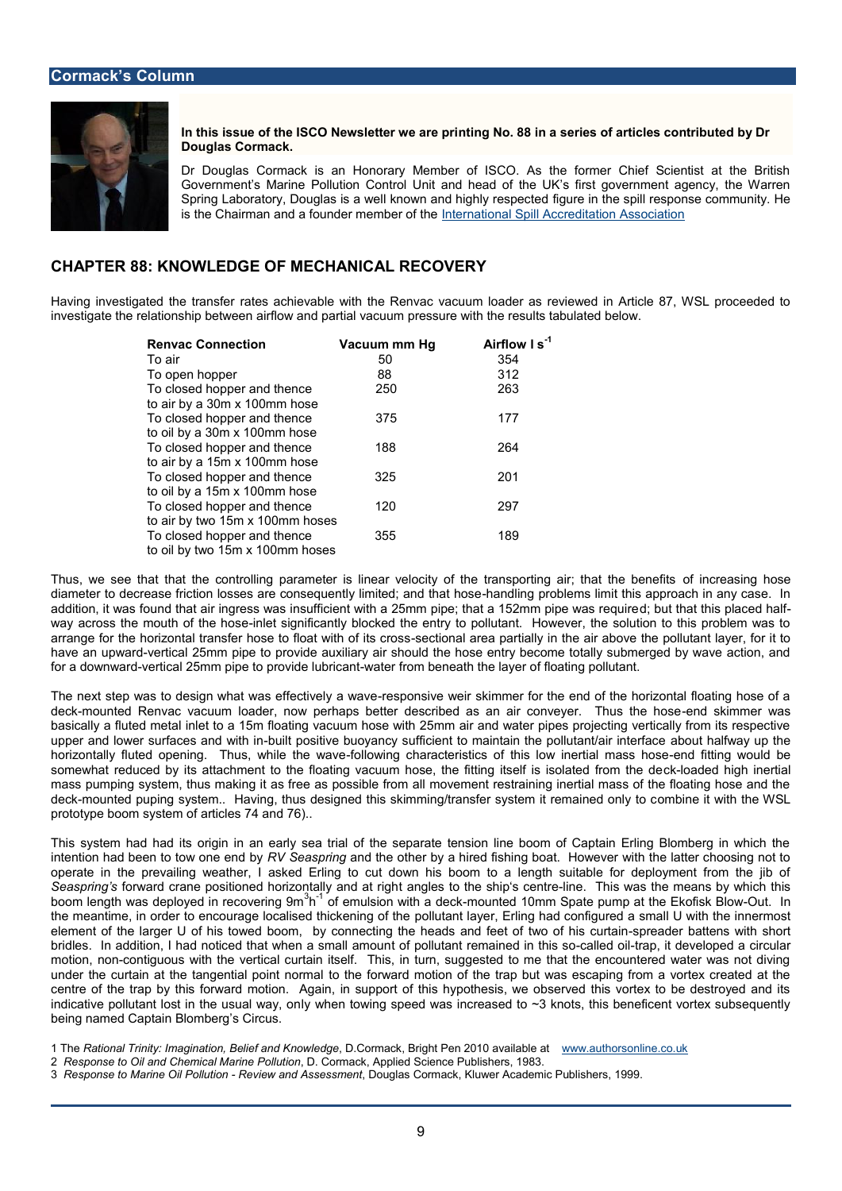In this issue of the ISCO Newshethogr No. a he spermies of articles contributed Douglas Cormack.

Dr Douglas Cormack is an Honorary Member of ISCO. As the former Government s Marine Pollution Control Unit and head of the UK s first Spring Laboratory, Douglas is a well knowing amed inightey speish e esponse contract the spill response contract response to the spill response of the spill response of the spill response of the spill response of the spill is the Chairman and a foundelnt metermable or noafl the peill Accreditation Association

### CHAPTER **& & OWLEDGE ECOTHANICAL RECOVERY**

Having investigated the testrancshies was valid the Renvac vacuum loader as reviewed in investigate the relationship between airflow and partial vacuum pressure with the resul

| Renvac Conomecti Vacuum mm Hg Airflow <sup>1</sup> l s |    |     |
|--------------------------------------------------------|----|-----|
| To air                                                 | 50 | 354 |
| To open hopper                                         | 88 | 312 |
| To closed hoappolethence 250                           |    | 263 |
| to air by a 30m x 100mm hose                           |    |     |
| To closed happletrhence 375                            |    | 177 |
| to oil by a 30m x 100mm hose                           |    |     |
| To closed hopper and then&&                            |    | 264 |
| to air by a 15m x 100mm hose                           |    |     |
| To closed hopper and the <b>B</b> 25                   |    | 201 |
| to oil by a 15m x 100mm hose                           |    |     |
| To closed hopper and the the <b>c</b>                  |    | 297 |
| to air by two 15m x 100mm hoses                        |    |     |
| To closed hopper and the \$ \$                         |    | 189 |
| to oil by two 15m x 100mm hoses                        |    |     |

Thus, we see that that the controlling parameter is linear velocity off the releasring ohtd diameter to decrease friction losses are consequendlly nigmpint bule annsdit mat those approach addition, it was found that air ingress was insufficient with a 25 on; mb pipten; at hte htis a pll  $a$  2 me o way across the mouth-ionflettheion betignified antly blocked the entry to pollutant. However, the arrange for the horizontal transfer hose-stecctfiloomaal waithelaopitahtesianalihoy saisboove the pollutant lay have an upweat dcal 25mm pipe to provide auxiliary air should the hose entry become to for a downweart dical 25mm pipe to provuaitdeer lfurb micbasent e athfthloe altaiynegr poollutant.

The next step was to design what wars sepfolestive elwe ar wative mer for the end of the horizontal floating hos dec-knounted Renvac vacuum loader, now perhaps better described a-samark samine on was ye basically a fluted metal inlet to a 15m floating vacuum hose with 25mm air and water upper and lower surfacebsuialnt dpowsithivien buoyancy sufficient to maintainabibhuet phalfwatayn tulp int horizontally fluted opening. Thuisllowhing the investmentics of this lown in eithiang mass and somewhat reduced by its attachment to the floating vacuum hose, dhe afd et dn gighs ei hfe its mass pumping system, thus making it as free as possible from all movement restrainin dechnounted puping system.. Having, thus designed this skimming otmabnate it sy stile muhet V prototype boom system of articles 74 and 76)..

This system had had its origin in an early sea trial of the separate tension line boo intention had been to to RNV on  $\delta$  eass pound in the other by a hired fishing boat. However with the operate in the prevailing weather, I asked Erling to cut down his boom to a length Seasprinfoprsward crane positioned horizto ant anglicy satro of the right fone. centrities was the means by boom length was deployed in <sup>3</sup>h<sup>-1</sup> root oevmenulins go 9m with oau rotteedk 10mm Spate pump at tObet Ekbriis the meantime, in order to encourage locaploisheudanhtid  $\mathbf{F} \cdot \mathbf{F}$  being that independent in the innermost of the innermostic metallical configurated the sinner of the inner most of the inner most of the inner most o element of the larger U of hbsy toownende obtoinogn, the heads and feet osfprtow and of hiast tens staw in th bridles. In addition, I had noticed that b fw phoen diarmamin and mean in one unand llien ditional position be motion, moomtiguous with the vertical curtain itself. This, in turn, suggested to me that under the curtain at the tangenctial hepoloin to annodronmadition of the trap but was escaping fror centre of the trap by this forward motion. Again, in support of this hypothesis, we d indicative pollutant lost in the when alow any geneed was increased to  $\sim$  3 knots, this bene being named Captain Blomberg s Circus.

1 ThReational Trinity: Imagination, BelDeCanndaKckowBlreidhe Pen 201M availah boles ant line.co.uk 2 Response to Oil and Chemical, Marchoen Paxd kut Appplied Science Publishers, 1983. 3 Response to Marine GiRePvoielw taond AsseBsomgelrats Cormack, Kluwer Academic Bc9 Publishe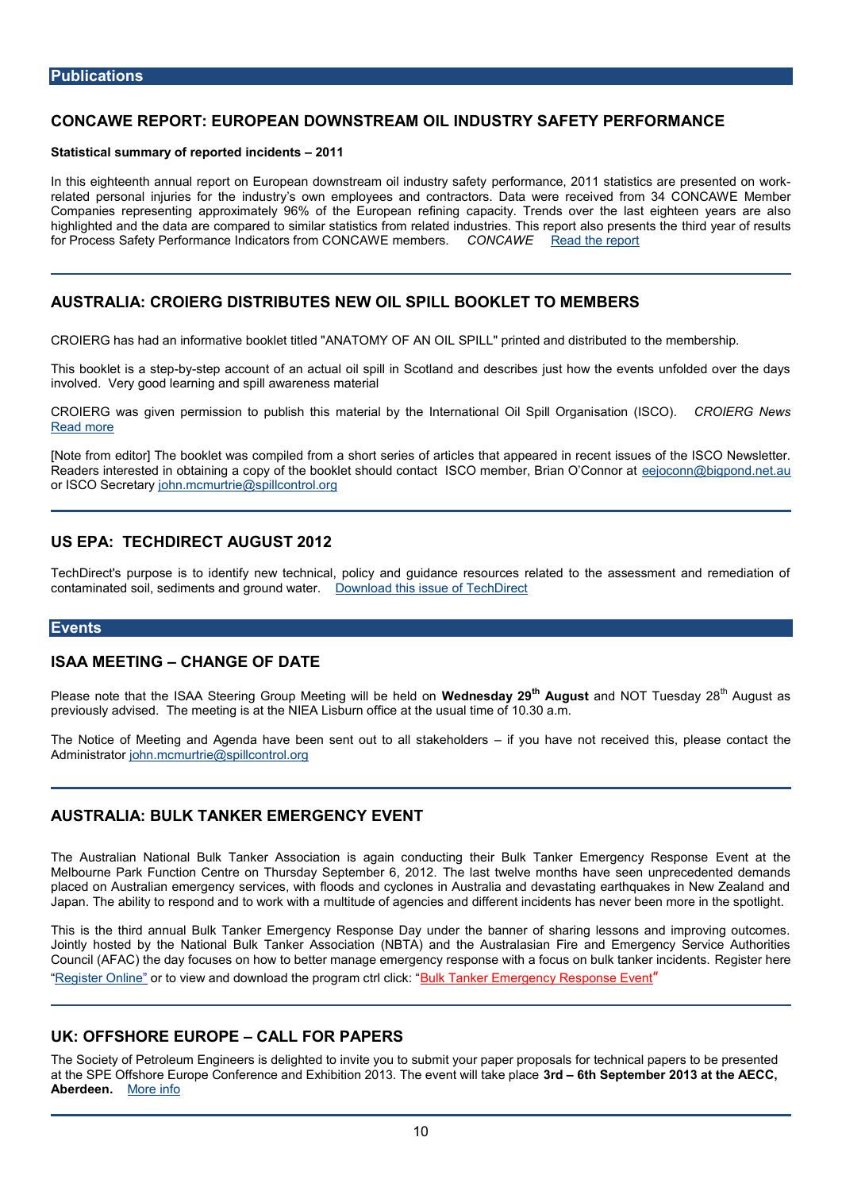# CONCAWE REPORTE EEAUNR DOWNST FOLEM MINDUSTRY SPALFERT OF RIANCE

Statistical summapproved incidents 1

In this eighteenth annual report on European dopwennsformemanam coell 2n0chlu1stoetyaptsi**es sie**ctnsteach on wo related personal injumidustoy shown employees and contractors. Data were Membioned Companies representing approximately 96% of aplacity uropeads refininthe last eighteen highlighted and the odaptaaread eto similar statistics from related industries bird hyeare porteal for Process Safety Performance Indicantemsberrosta CONCOMONAGWA Exact the report

AUSTRALIA: CROIERG DISTRIBUTES NEW OIL SPILL BOOKLET TO MEN

CROIERG has had an informative booklet Athitl@ bl "& NATO MY in the dand distributed to the r

This booklet is wate be account of an actual oil spill in Scotland and describes just how involve Volery good learning and spill awareness material

CROIERGGas given permission stompautberiisanth helpy international Oils aStpiold Organi CIERG News [Read m](http://www.croierg.com.au/front-page)ore

[Note from editor] The booklet was compiled fsrotthaa appeta seediens roefcentticises ues of the I Readers interested in obtaining a copy of the booklet should cone and contact **SCO** bring promotion at or ISCO Secircent arm cmurtrie@spillcontrol.org

# US EPA: TECHDIRECT AUGUST 2012

TechDirect's purpose is to identify new technical, policy and guidance resources relation contaminated sediments and ground watered. this issue of TechDirect

#### Events

#### ISAA MEETING HANGE OF DATE

Please note that the ISAA Steering Group Willesentiersgalaw<sup>i</sup>ll **28 the steed on Wednesday 29 th** Tues<sup>th</sup>dAug20 ast as previously advised. The meeting is at the NIEA Lisburn office at the usual time of 10.

The Notice of Meeting and Agenda have been senitf oyuotu thaavel solake hood idveerds this the leas Administrator mcmurtrie@spillcontrol.org

# AUSTRALIA: BULK TANKER EMERGENCY EVENT

The Australian National Bulk Tanker Association is again conducting theolern Bualk theal Melbourne Park Function Centre on Thursd blog Sleapstte thw beein 6, m 2001 the shave seen unprecedent placed on Australian emergency services, with floods and cyclones in Australia and de Japan. The ability to respond and to work with a multitude of agencies and different in

This is the third annual Bulk Tanker Emergency Response Day under the banner of s Jointly hosted by the National Bulk Tanker Association (NBTA) and the Australasian Council (AFAC) the day focuses on how to better manage emergency resp**Reses wethhartedlents.** [Register O](http://www.nbta.com.au/er2012/)nolrinto view and download the pBrogram and the telimoder gency Response Event

### UK: OFFSHORE EURQPE FOR PAPERS

The Society of Petrodeum Endgellighted to invite you to submit your paper proposals for t at the SPE Offshore Europe Conference and Exhibition 320163th TSheepeewenthe w 2101ta kæt plhæce\ Aberdee*nMore* info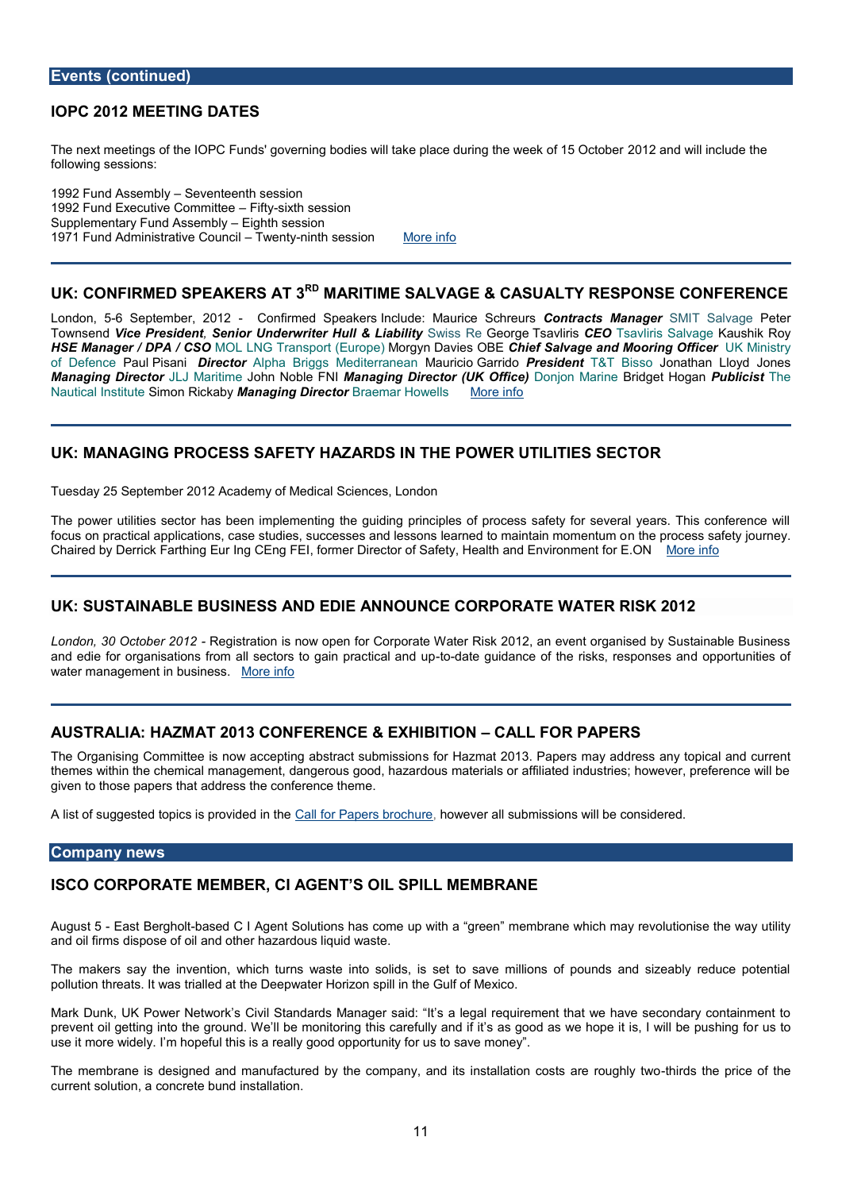#### Events (continued)

# IOPC 2012 MEETING DATES

The next meetings of the IOPC Funds' governing bodies will take of all action duw in laith columber of following sessions:

1992 Fund AsseSmebyleynteenth session 1992 Fund Executive Clointen interession Supplementary Fund AEsisgehinh blsyession 1971 Fund Administrative Chatymtchilsession hore info

# UK: CONFIRMED SPEAKERS RATIME SALVAGE & CASUALTY RESPONSE

London-6 5September, - 2008 firm Septeakeinsclude: Maurice Gontreauortss Man Salvale Tr Salv Paegteer Townsde Mice PresidSeent Nomderwriter Hull & SwasbsliGeveorgTes avliCiEsOTsavliris SaKlarusheik Roy HSE Manager / DPM O/LCLSNOG Transport M (GF un popularies OCH HEef Salvage and Mooriuh In Multimery of DefenPcaeuPrisanDirecto.Alpha Briggs MeditAearuanioBiaenridPoresideTn&T BisJsconathan Lloyd Jon Managing Dir $\texttt{\&}$ lctoMaritlionhen Noble MEnNaging Director (ULK o Oifdince) aBrindeget HoPguabnlicishte Nautical In Simione Ric Manaby aging other acamar How Mobise info

# UKMANAGING PROCESSY SHAF ZARDS IN OWHER PUTILITIES RSECTO

Tuesday 25 Sep2t@th2b & cade M & do tal Sciences, London

The power utilities sector has been implementing the guiding principles of process sa focus on practical applications, case studies, successes and less ones pleare as safentain to Chaired Devrick Farthing Eur Info ConEenrg DFI Ed ctor of Safety, Health and **Environment for E.** 

#### UK: SUSTAINABLNE EBSUSSAND EDIE AONEN OOR POER ANTA TER RISK 2012

London, 30 Octob Regiost Pation is now open for Corporate Water Risk 2012, an event or and edie for organisations from all sectorsto-doatoeaguipdraancotec**af almed uis**ksd, ore **spootnus**rei**s**ieasn water management in Mbourseiniensis.

### AUSTRALIA: HAZMAT 2013 CONFERENCECALEL X FHORNERS

The Organising Committee is now acception go abstance ts 20 th miss hapers may address any to themes within the chemical management, dangerous good, hazardous materials or affili given to those papers that address the conference theme.

A list souggested topics is pCcavildfeod Fhapheers, how converted all submissions will be considered.

### Company news

ISCO CORPORATE MEMBER, CIILASGEBINIT NG EGMBRANE

August Ebast Berghhaosletd C I ASgoelnutions has come up wmith maragree ewhich may revolutionise t and oil firms dispose of oil and other hazardous liquid waste.

The makearys the invention, which turns waste into solids, is set to save millions of pollution threats. It was trialled at the Deepwater Horizon spill in the Gulf of Mexico.

Mark Dunk, UK Power Chive it wont arts of the idea detriegal requirement that we have secondary prevenIt goeitting into the girdouendhor Whiqeno this carefullsy assing oidfolitas we hope it is, I rwuils to be p use it more whidheolypeful this isspoaod poopulity inity for us to save money .

The membrane is designed and manufactured by the company, and-thirs disnstithed laptilon consideration of the constant of the constant of the price  $\omega$ current soluction, ate bustallation.